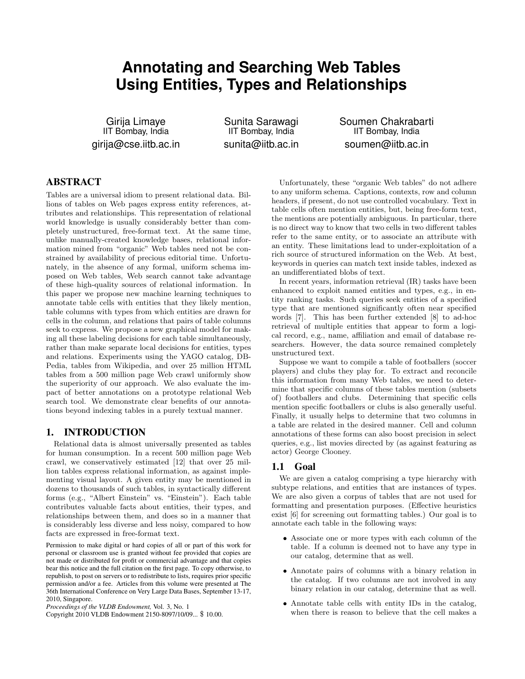# **Annotating and Searching Web Tables Using Entities, Types and Relationships**

Girija Limaye IIT Bombay, India girija@cse.iitb.ac.in

Sunita Sarawagi IIT Bombay, India sunita@iitb.ac.in Soumen Chakrabarti IIT Bombay, India soumen@iitb.ac.in

# ABSTRACT

Tables are a universal idiom to present relational data. Billions of tables on Web pages express entity references, attributes and relationships. This representation of relational world knowledge is usually considerably better than completely unstructured, free-format text. At the same time, unlike manually-created knowledge bases, relational information mined from "organic" Web tables need not be constrained by availability of precious editorial time. Unfortunately, in the absence of any formal, uniform schema imposed on Web tables, Web search cannot take advantage of these high-quality sources of relational information. In this paper we propose new machine learning techniques to annotate table cells with entities that they likely mention, table columns with types from which entities are drawn for cells in the column, and relations that pairs of table columns seek to express. We propose a new graphical model for making all these labeling decisions for each table simultaneously, rather than make separate local decisions for entities, types and relations. Experiments using the YAGO catalog, DB-Pedia, tables from Wikipedia, and over 25 million HTML tables from a 500 million page Web crawl uniformly show the superiority of our approach. We also evaluate the impact of better annotations on a prototype relational Web search tool. We demonstrate clear benefits of our annotations beyond indexing tables in a purely textual manner.

## 1. INTRODUCTION

Relational data is almost universally presented as tables for human consumption. In a recent 500 million page Web crawl, we conservatively estimated [12] that over 25 million tables express relational information, as against implementing visual layout. A given entity may be mentioned in dozens to thousands of such tables, in syntactically different forms (e.g., "Albert Einstein" vs. "Einstein"). Each table contributes valuable facts about entities, their types, and relationships between them, and does so in a manner that is considerably less diverse and less noisy, compared to how facts are expressed in free-format text.

Permission to make digital or hard copies of all or part of this work for personal or classroom use is granted without fee provided that copies are not made or distributed for profit or commercial advantage and that copies bear this notice and the full citation on the first page. To copy otherwise, to republish, to post on servers or to redistribute to lists, requires prior specific permission and/or a fee. Articles from this volume were presented at The 36th International Conference on Very Large Data Bases, September 13-17, 2010, Singapore.

Copyright 2010 VLDB Endowment 2150-8097/10/09... \$ 10.00.

Unfortunately, these "organic Web tables" do not adhere to any uniform schema. Captions, contexts, row and column headers, if present, do not use controlled vocabulary. Text in table cells often mention entities, but, being free-form text, the mentions are potentially ambiguous. In particular, there is no direct way to know that two cells in two different tables refer to the same entity, or to associate an attribute with an entity. These limitations lead to under-exploitation of a rich source of structured information on the Web. At best, keywords in queries can match text inside tables, indexed as an undifferentiated blobs of text.

In recent years, information retrieval (IR) tasks have been enhanced to exploit named entities and types, e.g., in entity ranking tasks. Such queries seek entities of a specified type that are mentioned significantly often near specified words [7]. This has been further extended [8] to ad-hoc retrieval of multiple entities that appear to form a logical record, e.g., name, affiliation and email of database researchers. However, the data source remained completely unstructured text.

Suppose we want to compile a table of footballers (soccer players) and clubs they play for. To extract and reconcile this information from many Web tables, we need to determine that specific columns of these tables mention (subsets of) footballers and clubs. Determining that specific cells mention specific footballers or clubs is also generally useful. Finally, it usually helps to determine that two columns in a table are related in the desired manner. Cell and column annotations of these forms can also boost precision in select queries, e.g., list movies directed by (as against featuring as actor) George Clooney.

## 1.1 Goal

We are given a catalog comprising a type hierarchy with subtype relations, and entities that are instances of types. We are also given a corpus of tables that are not used for formatting and presentation purposes. (Effective heuristics exist [6] for screening out formatting tables.) Our goal is to annotate each table in the following ways:

- Associate one or more types with each column of the table. If a column is deemed not to have any type in our catalog, determine that as well.
- Annotate pairs of columns with a binary relation in the catalog. If two columns are not involved in any binary relation in our catalog, determine that as well.
- Annotate table cells with entity IDs in the catalog, when there is reason to believe that the cell makes a

*Proceedings of the VLDB Endowment,* Vol. 3, No. 1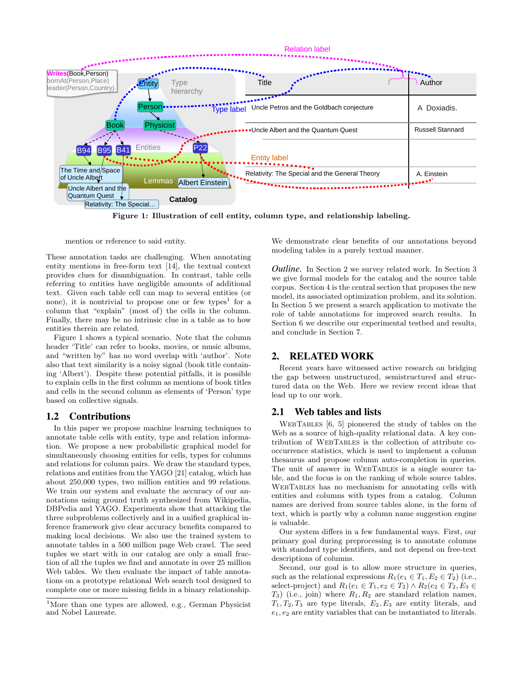

Figure 1: Illustration of cell entity, column type, and relationship labeling.

mention or reference to said entity.

These annotation tasks are challenging. When annotating entity mentions in free-form text [14], the textual context provides clues for disambiguation. In contrast, table cells referring to entities have negligible amounts of additional text. Given each table cell can map to several entities (or none), it is nontrivial to propose one or few types<sup>1</sup> for a column that "explain" (most of) the cells in the column. Finally, there may be no intrinsic clue in a table as to how entities therein are related.

Figure 1 shows a typical scenario. Note that the column header 'Title' can refer to books, movies, or music albums, and "written by" has no word overlap with 'author'. Note also that text similarity is a noisy signal (book title containing 'Albert'). Despite these potential pitfalls, it is possible to explain cells in the first column as mentions of book titles and cells in the second column as elements of 'Person' type based on collective signals.

## 1.2 Contributions

In this paper we propose machine learning techniques to annotate table cells with entity, type and relation information. We propose a new probabilistic graphical model for simultaneously choosing entities for cells, types for columns and relations for column pairs. We draw the standard types, relations and entities from the YAGO [21] catalog, which has about 250,000 types, two million entities and 99 relations. We train our system and evaluate the accuracy of our annotations using ground truth synthesized from Wikipedia, DBPedia and YAGO. Experiments show that attacking the three subproblems collectively and in a unified graphical inference framework give clear accuracy benefits compared to making local decisions. We also use the trained system to annotate tables in a 500 million page Web crawl. The seed tuples we start with in our catalog are only a small fraction of all the tuples we find and annotate in over 25 million Web tables. We then evaluate the impact of table annotations on a prototype relational Web search tool designed to complete one or more missing fields in a binary relationship.

We demonstrate clear benefits of our annotations beyond modeling tables in a purely textual manner.

*Outline.* In Section 2 we survey related work. In Section 3 we give formal models for the catalog and the source table corpus. Section 4 is the central section that proposes the new model, its associated optimization problem, and its solution. In Section 5 we present a search application to motivate the role of table annotations for improved search results. In Section 6 we describe our experimental testbed and results, and conclude in Section 7.

## 2. RELATED WORK

Recent years have witnessed active research on bridging the gap between unstructured, semistructured and structured data on the Web. Here we review recent ideas that lead up to our work.

## 2.1 Web tables and lists

WebTables [6, 5] pioneered the study of tables on the Web as a source of high-quality relational data. A key contribution of WebTables is the collection of attribute cooccurrence statistics, which is used to implement a column thesaurus and propose column auto-completion in queries. The unit of answer in WebTables is a single source table, and the focus is on the ranking of whole source tables. WebTables has no mechanism for annotating cells with entities and columns with types from a catalog. Column names are derived from source tables alone, in the form of text, which is partly why a column name suggestion engine is valuable.

Our system differs in a few fundamental ways. First, our primary goal during preprocessing is to annotate columns with standard type identifiers, and not depend on free-text descriptions of columns.

Second, our goal is to allow more structure in queries, such as the relational expressions  $R_1(e_1 \in T_1, E_2 \in T_2)$  (i.e., select-project) and  $R_1(e_1 \in T_1, e_2 \in T_2) \wedge R_2(e_2 \in T_2, E_3 \in$  $T_3$ ) (i.e., join) where  $R_1, R_2$  are standard relation names,  $T_1, T_2, T_3$  are type literals,  $E_2, E_3$  are entity literals, and  $e_1, e_2$  are entity variables that can be instantiated to literals.

<sup>&</sup>lt;sup>1</sup>More than one types are allowed, e.g., German Physicist and Nobel Laureate.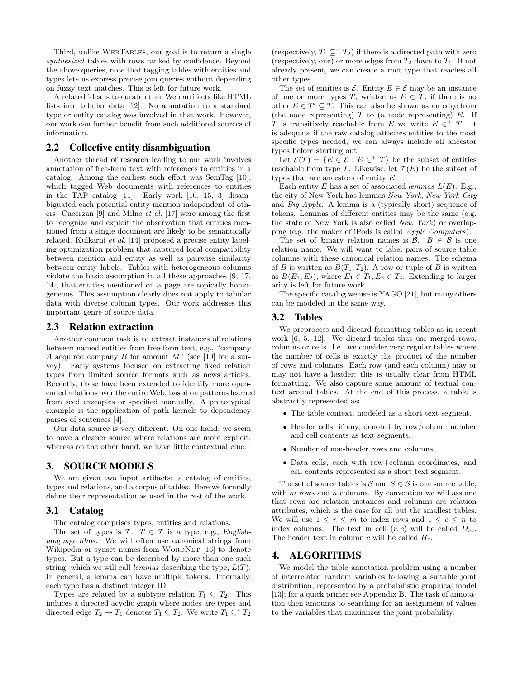Third, unlike WebTables, our goal is to return a single synthesized tables with rows ranked by confidence. Beyond the above queries, note that tagging tables with entities and types lets us express precise join queries without depending on fuzzy text matches. This is left for future work.

A related idea is to curate other Web artifacts like HTML lists into tabular data [12]. No annotation to a standard type or entity catalog was involved in that work. However, our work can further benefit from such additional sources of information.

## 2.2 Collective entity disambiguation

Another thread of research leading to our work involves annotation of free-form text with references to entities in a catalog. Among the earliest such effort was SemTag [10], which tagged Web documents with references to entities in the TAP catalog [11]. Early work [10, 15, 3] disambiguated each potential entity mention independent of others. Cucerzan [9] and Milne et al. [17] were among the first to recognize and exploit the observation that entities mentioned from a single document are likely to be semantically related. Kulkarni et al. [14] proposed a precise entity labeling optimization problem that captured local compatibility between mention and entity as well as pairwise similarity between entity labels. Tables with heterogeneous columns violate the basic assumption in all these approaches [9, 17, 14], that entities mentioned on a page are topically homogeneous. This assumption clearly does not apply to tabular data with diverse column types. Our work addresses this important genre of source data.

#### 2.3 Relation extraction

Another common task is to extract instances of relations between named entities from free-form text, e.g., "company  $A$  acquired company  $B$  for amount  $M$ " (see [19] for a survey). Early systems focused on extracting fixed relation types from limited source formats such as news articles. Recently, these have been extended to identify more openended relations over the entire Web, based on patterns learned from seed examples or specified manually. A prototypical example is the application of path kernels to dependency parses of sentences [4].

Our data source is very different. On one hand, we seem to have a cleaner source where relations are more explicit, whereas on the other hand, we have little contextual clue.

## 3. SOURCE MODELS

We are given two input artifacts: a catalog of entities, types and relations, and a corpus of tables. Here we formally define their representation as used in the rest of the work.

## 3.1 Catalog

The catalog comprises types, entities and relations.

The set of types is  $\mathcal{T}$ .  $T \in \mathcal{T}$  is a type, e.g., Englishlanguage films. We will often use canonical strings from Wikipedia or synset names from WORDNET [16] to denote types. But a type can be described by more than one such string, which we will call *lemmas* describing the type,  $L(T)$ . In general, a lemma can have multiple tokens. Internally, each type has a distinct integer ID.

Types are related by a subtype relation  $T_1 \subseteq T_2$ . This induces a directed acyclic graph where nodes are types and directed edge  $T_2 \to T_1$  denotes  $T_1 \subseteq T_2$ . We write  $T_1 \subseteq^* T_2$ 

(respectively,  $T_1 \subseteq^+ T_2$ ) if there is a directed path with zero (respectively, one) or more edges from  $T_2$  down to  $T_1$ . If not already present, we can create a root type that reaches all other types.

The set of entities is  $\mathcal{E}$ . Entity  $E \in \mathcal{E}$  may be an instance of one or more types T, written as  $E \in T$ , if there is no other  $E \in T' \subseteq T$ . This can also be shown as an edge from (the node representing)  $T$  to (a node representing)  $E$ . If T is transitively reachable from E we write  $E \in H^+$ . It is adequate if the raw catalog attaches entities to the most specific types needed; we can always include all ancestor types before starting out.

Let  $\mathcal{E}(T) = \{ E \in \mathcal{E} : E \in T \}$  be the subset of entities reachable from type T. Likewise, let  $\mathcal{T}(E)$  be the subset of types that are ancestors of entity E.

Each entity E has a set of associated *lemmas*  $L(E)$ . E.g., the city of New York has lemmas New York, New York City and Big Apple. A lemma is a (typically short) sequence of tokens. Lemmas of different entities may be the same (e.g. the state of New York is also called New York) or overlapping (e.g. the maker of iPods is called Apple Computers).

The set of binary relation names is  $\mathcal{B}$ .  $B \in \mathcal{B}$  is one relation name. We will want to label pairs of source table columns with these canonical relation names. The schema of B is written as  $B(T_1, T_2)$ . A row or tuple of B is written as  $B(E_1, E_2)$ , where  $E_1 \in T_1, E_2 \in T_2$ . Extending to larger arity is left for future work.

The specific catalog we use is YAGO [21], but many others can be modeled in the same way.

## 3.2 Tables

We preprocess and discard formatting tables as in recent work [6, 5, 12]. We discard tables that use merged rows, columns or cells. I.e., we consider very regular tables where the number of cells is exactly the product of the number of rows and columns. Each row (and each column) may or may not have a header; this is usually clear from HTML formatting. We also capture some amount of textual context around tables. At the end of this process, a table is abstractly represented as:

- The table context, modeled as a short text segment.
- Header cells, if any, denoted by row/column number and cell contents as text segments.
- Number of non-header rows and columns.
- Data cells, each with row+column coordinates, and cell contents represented as a short text segment.

The set of source tables is S and  $S \in \mathcal{S}$  is one source table, with  $m$  rows and  $n$  columns. By convention we will assume that rows are relation instances and columns are relation attributes, which is the case for all but the smallest tables. We will use  $1 \leq r \leq m$  to index rows and  $1 \leq c \leq n$  to index columns. The text in cell  $(r, c)$  will be called  $D_{rc}$ . The header text in column  $c$  will be called  $H_c$ .

## 4. ALGORITHMS

We model the table annotation problem using a number of interrelated random variables following a suitable joint distribution, represented by a probabilistic graphical model [13]; for a quick primer see Appendix B. The task of annotation then amounts to searching for an assignment of values to the variables that maximizes the joint probability.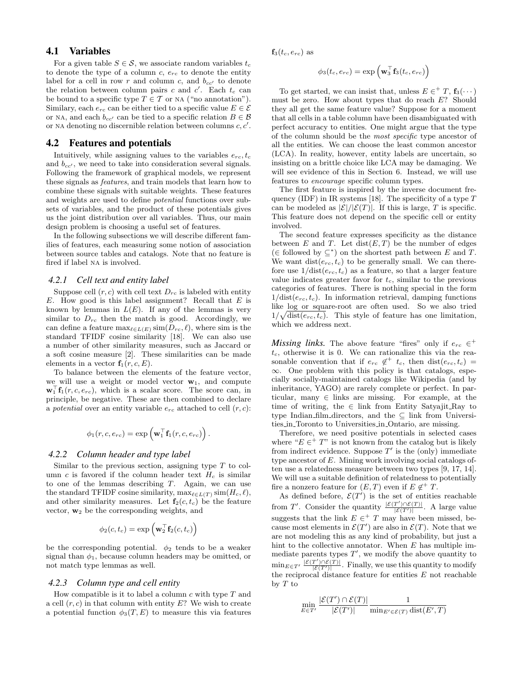## 4.1 Variables

For a given table  $S \in \mathcal{S}$ , we associate random variables  $t_c$ to denote the type of a column c,  $e_{rc}$  to denote the entity label for a cell in row r and column c, and  $b_{cc}$  to denote the relation between column pairs c and  $c'$ . Each  $t_c$  can be bound to a specific type  $T \in \mathcal{T}$  or NA ("no annotation"). Similary, each  $e_{rc}$  can be either tied to a specific value  $E \in \mathcal{E}$ or NA, and each  $b_{cc'}$  can be tied to a specific relation  $B \in \mathcal{B}$ or NA denoting no discernible relation between columns  $c, c'$ .

#### 4.2 Features and potentials

Intuitively, while assigning values to the variables  $e_{rc}$ ,  $t_c$ and  $b_{cc}$ , we need to take into consideration several signals. Following the framework of graphical models, we represent these signals as features, and train models that learn how to combine these signals with suitable weights. These features and weights are used to define potential functions over subsets of variables, and the product of these potentials gives us the joint distribution over all variables. Thus, our main design problem is choosing a useful set of features.

In the following subsections we will describe different families of features, each measuring some notion of association between source tables and catalogs. Note that no feature is fired if label na is involved.

#### *4.2.1 Cell text and entity label*

Suppose cell  $(r, c)$  with cell text  $D_{rc}$  is labeled with entity  $E$ . How good is this label assignment? Recall that  $E$  is known by lemmas in  $L(E)$ . If any of the lemmas is very similar to  $D_{rc}$  then the match is good. Accordingly, we can define a feature  $\max_{\ell \in L(E)} \text{sim}(D_{rc}, \ell)$ , where sim is the standard TFIDF cosine similarity [18]. We can also use a number of other similarity measures, such as Jaccard or a soft cosine measure [2]. These similarities can be made elements in a vector  $f_1(r, c, E)$ .

To balance between the elements of the feature vector, we will use a weight or model vector  $w_1$ , and compute  $\mathbf{w}_1^{\top} \mathbf{f}_1(r, c, e_{rc})$ , which is a scalar score. The score can, in principle, be negative. These are then combined to declare a potential over an entity variable  $e_{rc}$  attached to cell  $(r, c)$ :

$$
\phi_1(r,c,e_{rc}) = \exp\left(\mathbf{w}_1^\top \mathbf{f}_1(r,c,e_{rc})\right).
$$

#### *4.2.2 Column header and type label*

Similar to the previous section, assigning type  $T$  to column c is favored if the column header text  $H_c$  is similar to one of the lemmas describing  $T$ . Again, we can use the standard TFIDF cosine similarity,  $\max_{\ell \in L(T)} \text{sim}(H_c, \ell),$ and other similarity measures. Let  $f_2(c, t_c)$  be the feature vector,  $w_2$  be the corresponding weights, and

$$
\phi_2(c, t_c) = \exp\left(\mathbf{w}_2^{\top} \mathbf{f}_2(c, t_c)\right)
$$

be the corresponding potential.  $\phi_2$  tends to be a weaker signal than  $\phi_1$ , because column headers may be omitted, or not match type lemmas as well.

## *4.2.3 Column type and cell entity*

How compatible is it to label a column  $c$  with type  $T$  and a cell  $(r, c)$  in that column with entity  $E$ ? We wish to create a potential function  $\phi_3(T, E)$  to measure this via features  $\mathbf{f}_3(t_c, e_{rc})$  as

$$
\phi_3(t_c, e_{rc}) = \exp\left(\mathbf{w}_3^{\top} \mathbf{f}_3(t_c, e_{rc})\right)
$$

To get started, we can insist that, unless  $E \in H^+T$ ,  $f_3(\cdots)$ must be zero. How about types that do reach E? Should they all get the same feature value? Suppose for a moment that all cells in a table column have been disambiguated with perfect accuracy to entities. One might argue that the type of the column should be the most specific type ancestor of all the entities. We can choose the least common ancestor (LCA). In reality, however, entity labels are uncertain, so insisting on a brittle choice like LCA may be damaging. We will see evidence of this in Section 6. Instead, we will use features to encourage specific column types.

The first feature is inspired by the inverse document frequency (IDF) in IR systems [18]. The specificity of a type  $T$ can be modeled as  $|\mathcal{E}|/|\mathcal{E}(T)|$ . If this is large, T is specific. This feature does not depend on the specific cell or entity involved.

The second feature expresses specificity as the distance between E and T. Let  $dist(E, T)$  be the number of edges (∈ followed by  $\subseteq^*$ ) on the shortest path between E and T. We want  $dist(e_{rc}, t_c)$  to be generally small. We can therefore use  $1/\text{dist}(e_{rc}, t_c)$  as a feature, so that a larger feature value indicates greater favor for  $t_c$ , similar to the previous categories of features. There is nothing special in the form  $1/\text{dist}(e_{rc}, t_c)$ . In information retrieval, damping functions like log or square-root are often used. So we also tried  $1/\sqrt{\text{dist}(e_{rc}, t_c)}$ . This style of feature has one limitation, which we address next.

*Missing links.* The above feature "fires" only if  $e_{rc} \in$ <sup>+</sup>  $t_c$ , otherwise it is 0. We can rationalize this via the reasonable convention that if  $e_{rc} \notin t_c$ , then  $dist(e_{rc}, t_c)$  = ∞. One problem with this policy is that catalogs, especially socially-maintained catalogs like Wikipedia (and by inheritance, YAGO) are rarely complete or perfect. In particular, many  $\in$  links are missing. For example, at the time of writing, the  $\in$  link from Entity Satyajit\_Ray to type Indian film directors, and the  $\subseteq$  link from Universities in Toronto to Universities in Ontario, are missing.

Therefore, we need positive potentials in selected cases where " $E \in H^*$ " is not known from the catalog but is likely from indirect evidence. Suppose  $T'$  is the (only) immediate type ancestor of E. Mining work involving social catalogs often use a relatedness measure between two types [9, 17, 14]. We will use a suitable definition of relatedness to potentially fire a nonzero feature for  $(E, T)$  even if  $E \notin T$ .

As defined before,  $\mathcal{E}(T')$  is the set of entities reachable from T'. Consider the quantity  $\frac{|\mathcal{E}(T') \cap \mathcal{E}(T)|}{|\mathcal{E}(T')|}$ . A large value suggests that the link  $E \in H^+$  may have been missed, because most elements in  $\mathcal{E}(T')$  are also in  $\mathcal{E}(T)$ . Note that we are not modeling this as any kind of probability, but just a hint to the collective annotator. When E has multiple immediate parents types  $T'$ , we modify the above quantity to  $\min_{E \in T'} \frac{|\mathcal{E}(T') \cap \mathcal{E}(T)|}{|\mathcal{E}(T')|}$ . Finally, we use this quantity to modify the reciprocal distance feature for entities E not reachable by  $T$  to

$$
\min_{E \in T'} \frac{|\mathcal{E}(T') \cap \mathcal{E}(T)|}{|\mathcal{E}(T')|} \frac{1}{\min_{E' \in \mathcal{E}(T)} \text{dist}(E', T)}
$$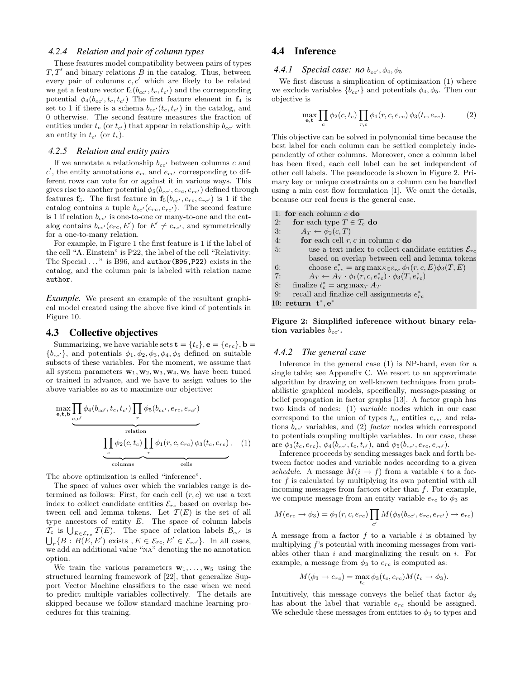#### *4.2.4 Relation and pair of column types*

These features model compatibility between pairs of types  $T, T'$  and binary relations  $\overline{B}$  in the catalog. Thus, between every pair of columns  $c, c'$  which are likely to be related we get a feature vector  $f_4(b_{cc'}, t_c, t_{c'})$  and the corresponding potential  $\phi_4(b_{cc'}, t_c, t_{c'})$  The first feature element in  $f_4$  is set to 1 if there is a schema  $b_{cc'}(t_c, t_{c'})$  in the catalog, and 0 otherwise. The second feature measures the fraction of entities under  $t_c$  (or  $t_{c'}$ ) that appear in relationship  $b_{cc'}$  with an entity in  $t_{c'}$  (or  $t_c$ ).

#### *4.2.5 Relation and entity pairs*

If we annotate a relationship  $b_{cc}$  between columns c and  $c'$ , the entity annotations  $e_{rc}$  and  $e_{rc'}$  corresponding to different rows can vote for or against it in various ways. This gives rise to another potential  $\phi_5(b_{cc'}, e_{rc}, e_{rc'})$  defined through features  $f_5$ . The first feature in  $f_5(b_{cc'}, e_{rc}, e_{rc'})$  is 1 if the catalog contains a tuple  $b_{cc'}(e_{rc}, e_{rc'})$ . The second feature is 1 if relation  $b_{cc}$  is one-to-one or many-to-one and the catalog contains  $b_{cc'}(e_{rc}, E')$  for  $E' \neq e_{rc'}$ , and symmetrically for a one-to-many relation.

For example, in Figure 1 the first feature is 1 if the label of the cell "A. Einstein" is P22, the label of the cell "Relativity: The Special ..." is B96, and **author(B96, P22)** exists in the catalog, and the column pair is labeled with relation name author.

*Example.* We present an example of the resultant graphical model created using the above five kind of potentials in Figure 10.

### 4.3 Collective objectives

Summarizing, we have variable sets  $\mathbf{t} = \{t_c\}, \mathbf{e} = \{e_{rc}\}, \mathbf{b} =$  ${b_{cc'}},$  and potentials  $\phi_1, \phi_2, \phi_3, \phi_4, \phi_5$  defined on suitable subsets of these variables. For the moment, we assume that all system parameters  $\mathbf{w}_1, \mathbf{w}_2, \mathbf{w}_3, \mathbf{w}_4, \mathbf{w}_5$  have been tuned or trained in advance, and we have to assign values to the above variables so as to maximize our objective:

$$
\underbrace{\prod_{e,c'} \phi_4(b_{cc'}, t_c, t_{c'}) \prod_r \phi_5(b_{cc'}, e_{rc}, e_{rc'})}_{\text{relation}}
$$
\n
$$
\underbrace{\prod_{c} \phi_2(c, t_c) \prod_r \phi_1(r, c, e_{rc}) \phi_3(t_c, e_{rc})}_{\text{columns}}.
$$
\n(1)

The above optimization is called "inference".

The space of values over which the variables range is determined as follows: First, for each cell  $(r, c)$  we use a text index to collect candidate entities  $\mathcal{E}_{rc}$  based on overlap between cell and lemma tokens. Let  $\mathcal{T}(E)$  is the set of all type ancestors of entity E. The space of column labels  $\mathcal{T}_c$  is  $\bigcup_{E \in \mathcal{E}_{rc}} \mathcal{T}(E)$ . The space of relation labels  $\mathcal{B}_{cc'}$  is  $\bigcup_r \{B : B(E, E') \text{ exists } , E \in \mathcal{E}_{rc}, E' \in \mathcal{E}_{rc'} \}.$  In all cases, we add an additional value "na" denoting the no annotation option.

We train the various parameters  $\mathbf{w}_1, \ldots, \mathbf{w}_5$  using the structured learning framework of [22], that generalize Support Vector Machine classifiers to the case when we need to predict multiple variables collectively. The details are skipped because we follow standard machine learning procedures for this training.

## 4.4 Inference

4.4.1 Special case: no  $b_{cc}$ ,  $\phi_4$ ,  $\phi_5$ 

We first discuss a simplication of optimization (1) where we exclude variables  ${b_{cc'} }$  and potentials  $\phi_4, \phi_5$ . Then our objective is

$$
\max_{\mathbf{e},\mathbf{t}} \prod_c \phi_2(c,t_c) \prod_{r,c} \phi_1(r,c,e_{rc}) \phi_3(t_c,e_{rc}). \tag{2}
$$

This objective can be solved in polynomial time because the best label for each column can be settled completely independently of other columns. Moreover, once a column label has been fixed, each cell label can be set independent of other cell labels. The pseudocode is shown in Figure 2. Primary key or unique constraints on a column can be handled using a min cost flow formulation [1]. We omit the details, because our real focus is the general case.

- 1: for each column  $c$  do
- 2: for each type  $T \in \mathcal{T}_c$  do
- 3:  $A_T \leftarrow \phi_2(c, T)$
- 4: **for** each cell  $r, c$  in column  $c$  **do**
- 5: use a text index to collect candidate entities  $\mathcal{E}_{rc}$ based on overlap between cell and lemma tokens
- 6: choose  $e_{rc}^* = \arg \max_{E \in \mathcal{E}_{rc}} \phi_1(r, c, E) \phi_3(T, E)$
- 7:  $A_T \leftarrow A_T \cdot \phi_1(r, c, e_{rc}^*) \cdot \phi_3(T, e_{rc}^*)$
- 8: finalize  $t_c^* = \arg \max_T A_T$
- 9: recall and finalize cell assignments  $e_{rc}^*$

10: return  $t^*, e^*$ 

Figure 2: Simplified inference without binary relation variables  $b_{cc'}$ .

## *4.4.2 The general case*

Inference in the general case (1) is NP-hard, even for a single table; see Appendix C. We resort to an approximate algorithm by drawing on well-known techniques from probabilistic graphical models, specifically, message-passing or belief propagation in factor graphs [13]. A factor graph has two kinds of nodes: (1) variable nodes which in our case correspond to the union of types  $t_c$ , entities  $e_{rc}$ , and relations  $b_{cc}$  variables, and (2) factor nodes which correspond to potentials coupling multiple variables. In our case, these are  $\phi_3(t_c, e_{rc})$ ,  $\phi_4(b_{cc'}, t_c, t_{c'})$ , and  $\phi_5(b_{cc'}, e_{rc}, e_{rc'})$ .

Inference proceeds by sending messages back and forth between factor nodes and variable nodes according to a given schedule. A message  $M(i \rightarrow f)$  from a variable i to a factor  $f$  is calculated by multiplying its own potential with all incoming messages from factors other than  $f$ . For example, we compute message from an entity variable  $e_{rc}$  to  $\phi_3$  as

$$
M(e_{rc} \rightarrow \phi_3) = \phi_1(r, c, e_{rc}) \prod_{c'} M(\phi_5(b_{cc'}, e_{rc}, e_{rc'}) \rightarrow e_{rc})
$$

A message from a factor  $f$  to a variable  $i$  is obtained by multiplying f's potential with incoming messages from variables other than  $i$  and marginalizing the result on  $i$ . For example, a message from  $\phi_3$  to  $e_{rc}$  is computed as:

$$
M(\phi_3 \to e_{rc}) = \max_{t_c} \phi_3(t_c, e_{rc}) M(t_c \to \phi_3).
$$

Intuitively, this message conveys the belief that factor  $\phi_3$ has about the label that variable  $e_{rc}$  should be assigned. We schedule these messages from entities to  $\phi_3$  to types and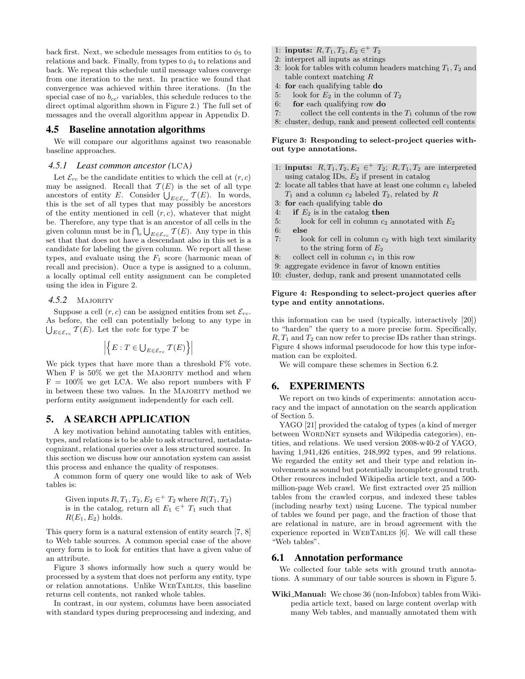back first. Next, we schedule messages from entities to  $\phi_5$  to relations and back. Finally, from types to  $\phi_4$  to relations and back. We repeat this schedule until message values converge from one iteration to the next. In practice we found that convergence was achieved within three iterations. (In the special case of no  $b_{cc'}$  variables, this schedule reduces to the direct optimal algorithm shown in Figure 2.) The full set of messages and the overall algorithm appear in Appendix D.

#### 4.5 Baseline annotation algorithms

We will compare our algorithms against two reasonable baseline approaches.

#### *4.5.1 Least common ancestor (*LCA*)*

Let  $\mathcal{E}_{rc}$  be the candidate entities to which the cell at  $(r, c)$ may be assigned. Recall that  $\mathcal{T}(E)$  is the set of all type ancestors of entity E. Consider  $\bigcup_{E \in \mathcal{E}_{rc}} \mathcal{T}(E)$ . In words, this is the set of all types that may possibly be ancestors of the entity mentioned in cell  $(r, c)$ , whatever that might be. Therefore, any type that is an ancestor of all cells in the given column must be in  $\bigcap_r \bigcup_{E \in \mathcal{E}_{rc}} \mathcal{T}(E)$ . Any type in this set that that does not have a descendant also in this set is a candidate for labeling the given column. We report all these types, and evaluate using the  $F_1$  score (harmonic mean of recall and precision). Once a type is assigned to a column, a locally optimal cell entity assignment can be completed using the idea in Figure 2.

4.5.2 MAJORITY

Suppose a cell  $(r, c)$  can be assigned entities from set  $\mathcal{E}_{rc}$ . As before, the cell can potentially belong to any type in  $\bigcup_{E \in \mathcal{E}_{rc}} \mathcal{T}(E)$ . Let the vote for type T be

$$
\left| \left\{ E:T \in \bigcup_{E \in \mathcal{E}_{rc}} \mathcal{T}(E) \right\} \right|
$$

We pick types that have more than a threshold F% vote. When  $F$  is  $50\%$  we get the MAJORITY method and when  $F = 100\%$  we get LCA. We also report numbers with F in between these two values. In the MAJORITY method we perform entity assignment independently for each cell.

## 5. A SEARCH APPLICATION

A key motivation behind annotating tables with entities, types, and relations is to be able to ask structured, metadatacognizant, relational queries over a less structured source. In this section we discuss how our annotation system can assist this process and enhance the quality of responses.

A common form of query one would like to ask of Web tables is:

Given inputs  $R, T_1, T_2, E_2 \in H^+T_2$  where  $R(T_1, T_2)$ is in the catalog, return all  $E_1 \in H^+T_1$  such that  $R(E_1, E_2)$  holds.

This query form is a natural extension of entity search [7, 8] to Web table sources. A common special case of the above query form is to look for entities that have a given value of an attribute.

Figure 3 shows informally how such a query would be processed by a system that does not perform any entity, type or relation annotations. Unlike WebTables, this baseline returns cell contents, not ranked whole tables.

In contrast, in our system, columns have been associated with standard types during preprocessing and indexing, and

- 1: inputs:  $R, T_1, T_2, E_2 \in T_2$
- 2: interpret all inputs as strings
- 3: look for tables with column headers matching  $T_1, T_2$  and table context matching R
- 4: for each qualifying table do
- 5: look for  $E_2$  in the column of  $T_2$
- 6: for each qualifying row do
- 7: collect the cell contents in the  $T_1$  column of the row
- 8: cluster, dedup, rank and present collected cell contents

Figure 3: Responding to select-project queries without type annotations.

- 1: **inputs:**  $R, T_1, T_2, E_2 \in$ <sup>+</sup>  $T_2$ ;  $R, T_1, T_2$  are interpreted using catalog IDs,  $E_2$  if present in catalog
- 2: locate all tables that have at least one column  $c_1$  labeled  $T_1$  and a column  $c_2$  labeled  $T_2$ , related by R
- 3: for each qualifying table do
- 4: if  $E_2$  is in the catalog then
- 5: look for cell in column  $c_2$  annotated with  $E_2$
- 6: else
- 7: look for cell in column  $c_2$  with high text similarity to the string form of  $E_2$
- 8: collect cell in column  $c_1$  in this row
- 9: aggregate evidence in favor of known entities
- 10: cluster, dedup, rank and present unannotated cells

#### Figure 4: Responding to select-project queries after type and entity annotations.

this information can be used (typically, interactively [20]) to "harden" the query to a more precise form. Specifically,  $R, T_1$  and  $T_2$  can now refer to precise IDs rather than strings. Figure 4 shows informal pseudocode for how this type information can be exploited.

We will compare these schemes in Section 6.2.

## 6. EXPERIMENTS

We report on two kinds of experiments: annotation accuracy and the impact of annotation on the search application of Section 5.

YAGO [21] provided the catalog of types (a kind of merger between WORDNET synsets and Wikipedia categories), entities, and relations. We used version 2008-w40-2 of YAGO, having 1,941,426 entities, 248,992 types, and 99 relations. We regarded the entity set and their type and relation involvements as sound but potentially incomplete ground truth. Other resources included Wikipedia article text, and a 500 million-page Web crawl. We first extracted over 25 million tables from the crawled corpus, and indexed these tables (including nearby text) using Lucene. The typical number of tables we found per page, and the fraction of those that are relational in nature, are in broad agreement with the experience reported in WEBTABLES [6]. We will call these "Web tables".

## 6.1 Annotation performance

We collected four table sets with ground truth annotations. A summary of our table sources is shown in Figure 5.

Wiki\_Manual: We chose 36 (non-Infobox) tables from Wikipedia article text, based on large content overlap with many Web tables, and manually annotated them with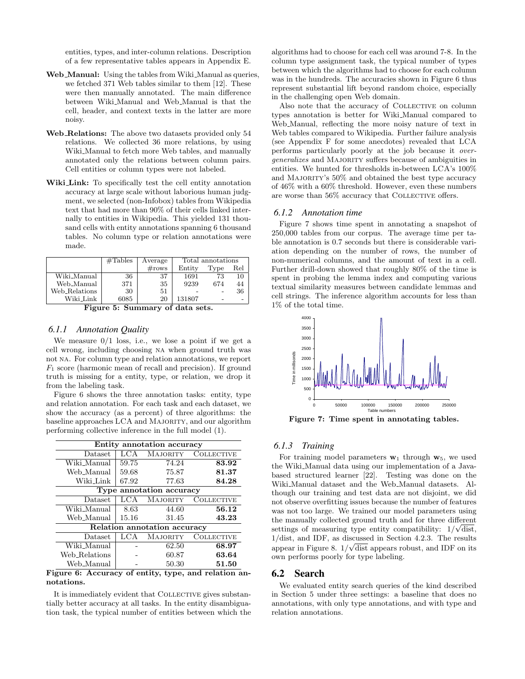entities, types, and inter-column relations. Description of a few representative tables appears in Appendix E.

- Web\_Manual: Using the tables from Wiki\_Manual as queries, we fetched 371 Web tables similar to them [12]. These were then manually annotated. The main difference between Wiki Manual and Web Manual is that the cell, header, and context texts in the latter are more noisy.
- Web<sub>-Relations:</sub> The above two datasets provided only 54 relations. We collected 36 more relations, by using Wiki Manual to fetch more Web tables, and manually annotated only the relations between column pairs. Cell entities or column types were not labeled.
- Wiki Link: To specifically test the cell entity annotation accuracy at large scale without laborious human judgment, we selected (non-Infobox) tables from Wikipedia text that had more than 90% of their cells linked internally to entities in Wikipedia. This yielded 131 thousand cells with entity annotations spanning 6 thousand tables. No column type or relation annotations were made.

|               | #Tables | Average         | Total annotations |      |     |
|---------------|---------|-----------------|-------------------|------|-----|
|               |         | $\#\text{rows}$ | Entity            | Type | Rel |
| Wiki_Manual   | 36      | 37              | 1691              | 73   | 10  |
| Web_Manual    | 371     | 35              | 9239              | 674  | 44  |
| Web_Relations | 30      | 51              |                   |      | 36  |
| Wiki Link     | 6085    | 20              | 131807            |      |     |

Figure 5: Summary of data sets.

#### *6.1.1 Annotation Quality*

We measure  $0/1$  loss, i.e., we lose a point if we get a cell wrong, including choosing na when ground truth was not na. For column type and relation annotations, we report  $F_1$  score (harmonic mean of recall and precision). If ground truth is missing for a entity, type, or relation, we drop it from the labeling task.

Figure 6 shows the three annotation tasks: entity, type and relation annotation. For each task and each dataset, we show the accuracy (as a percent) of three algorithms: the baseline approaches LCA and Majority, and our algorithm performing collective inference in the full model (1).

| Entity annotation accuracy   |       |                 |                   |
|------------------------------|-------|-----------------|-------------------|
| Dataset                      | LCA   | <b>MAJORITY</b> | <b>COLLECTIVE</b> |
| Wiki_Manual                  | 59.75 | 74.24           | 83.92             |
| Web Manual                   | 59.68 | 75.87           | 81.37             |
| Wiki_Link                    | 67.92 | 77.63           | 84.28             |
| Type annotation accuracy     |       |                 |                   |
| Dataset                      | LCA   | <b>MAJORITY</b> | <b>COLLECTIVE</b> |
| Wiki_Manual                  | 8.63  | 44.60           | 56.12             |
| Web Manual                   | 15.16 | 31.45           | 43.23             |
| Relation annotation accuracy |       |                 |                   |
| Dataset                      | LCA   | <b>MAJORITY</b> | <b>COLLECTIVE</b> |
| Wiki_Manual                  |       | 62.50           | 68.97             |
| Web_Relations                |       | 60.87           | 63.64             |
| Web_Manual                   |       | 50.30           | 51.50             |

Figure 6: Accuracy of entity, type, and relation annotations.

It is immediately evident that COLLECTIVE gives substantially better accuracy at all tasks. In the entity disambiguation task, the typical number of entities between which the

algorithms had to choose for each cell was around 7-8. In the column type assignment task, the typical number of types between which the algorithms had to choose for each column was in the hundreds. The accuracies shown in Figure 6 thus represent substantial lift beyond random choice, especially in the challenging open Web domain.

Also note that the accuracy of COLLECTIVE on column types annotation is better for Wiki Manual compared to Web Manual, reflecting the more noisy nature of text in Web tables compared to Wikipedia. Further failure analysis (see Appendix F for some anecdotes) revealed that LCA performs particularly poorly at the job because it overgeneralizes and Majority suffers because of ambiguities in entities. We hunted for thresholds in-between LCA's 100% and Majority's 50% and obtained the best type accuracy of 46% with a 60% threshold. However, even these numbers are worse than 56% accuracy that COLLECTIVE offers.

#### *6.1.2 Annotation time*

Figure 7 shows time spent in annotating a snapshot of 250,000 tables from our corpus. The average time per table annotation is 0.7 seconds but there is considerable variation depending on the number of rows, the number of non-numerical columns, and the amount of text in a cell. Further drill-down showed that roughly 80% of the time is spent in probing the lemma index and computing various textual similarity measures between candidate lemmas and cell strings. The inference algorithm accounts for less than 1% of the total time.



Figure 7: Time spent in annotating tables.

#### *6.1.3 Training*

For training model parameters  $w_1$  through  $w_5$ , we used the Wiki Manual data using our implementation of a Javabased structured learner [22]. Testing was done on the Wiki Manual dataset and the Web Manual datasets. Although our training and test data are not disjoint, we did not observe overfitting issues because the number of features was not too large. We trained our model parameters using the manually collected ground truth and for three different settings of measuring type entity compatibility:  $1/\sqrt{\text{dist}}$ ,  $1/dist$ , and IDF, as discussed in Section 4.2.3. The results appear in Figure 8.  $1/\sqrt{\text{dist}}$  appears robust, and IDF on its own performs poorly for type labeling.

## 6.2 Search

We evaluated entity search queries of the kind described in Section 5 under three settings: a baseline that does no annotations, with only type annotations, and with type and relation annotations.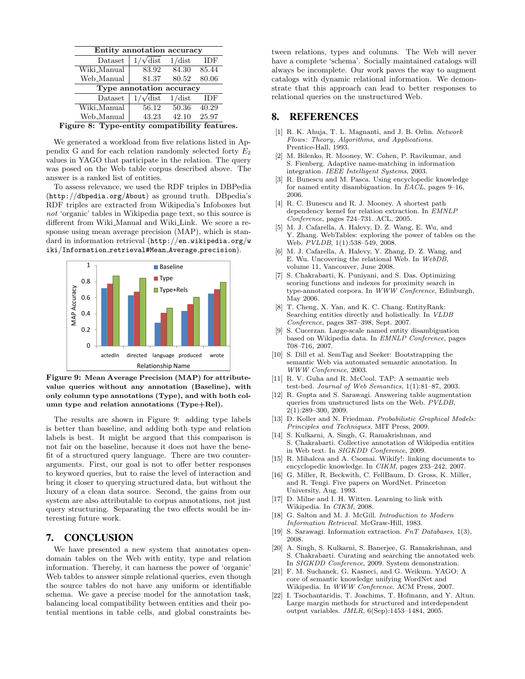| Entity annotation accuracy |                        |                    |                    |
|----------------------------|------------------------|--------------------|--------------------|
| Dataset                    | $\sqrt{\mathrm{dist}}$ | 1/dist             | IDF                |
| Wiki_Manual                | 83.92                  | 84.30              | 85.44              |
| Web_Manual                 | 81.37                  | 80.52              | 80.06              |
| Type annotation accuracy   |                        |                    |                    |
| Dataset                    | $\sqrt{\mathrm{dist}}$ | $1/\text{dist}$    | IDF                |
| Wiki_Manual                | 56.12                  | $\overline{50.36}$ | $40.\overline{29}$ |
| Web_Manual                 | 43.23                  | 42.10              | 25.97              |

Figure 8: Type-entity compatibility features.

We generated a workload from five relations listed in Appendix G and for each relation randomly selected forty  $E_2$ values in YAGO that participate in the relation. The query was posed on the Web table corpus described above. The answer is a ranked list of entities.

To assess relevance, we used the RDF triples in DBPedia (http://dbpedia.org/About) as ground truth. DBpedia's RDF triples are extracted from Wikipedia's Infoboxes but not 'organic' tables in Wikipedia page text, so this source is different from Wiki Manual and Wiki Link. We score a response using mean average precision (MAP), which is standard in information retrieval (http://en.wikipedia.org/w iki/Information retrieval#Mean Average precision).



Figure 9: Mean Average Precision (MAP) for attributevalue queries without any annotation (Baseline), with only column type annotations (Type), and with both column type and relation annotations (Type+Rel).

The results are shown in Figure 9: adding type labels is better than baseline, and adding both type and relation labels is best. It might be argued that this comparison is not fair on the baseline, because it does not have the benefit of a structured query language. There are two counterarguments. First, our goal is not to offer better responses to keyword queries, but to raise the level of interaction and bring it closer to querying structured data, but without the luxury of a clean data source. Second, the gains from our system are also attributable to corpus annotations, not just query structuring. Separating the two effects would be interesting future work.

## 7. CONCLUSION

We have presented a new system that annotates opendomain tables on the Web with entity, type and relation information. Thereby, it can harness the power of 'organic' Web tables to answer simple relational queries, even though the source tables do not have any uniform or identifiable schema. We gave a precise model for the annotation task, balancing local compatibility between entities and their potential mentions in table cells, and global constraints between relations, types and columns. The Web will never have a complete 'schema'. Socially maintained catalogs will always be incomplete. Our work paves the way to augment catalogs with dynamic relational information. We demonstrate that this approach can lead to better responses to relational queries on the unstructured Web.

## 8. REFERENCES

- [1] R. K. Ahuja, T. L. Magnanti, and J. B. Orlin. Network Flows: Theory, Algorithms, and Applications. Prentice-Hall, 1993.
- [2] M. Bilenko, R. Mooney, W. Cohen, P. Ravikumar, and S. Fienberg. Adaptive name-matching in information integration. IEEE Intelligent Systems, 2003.
- [3] R. Bunescu and M. Pasca. Using encyclopedic knowledge for named entity disambiguation. In EACL, pages 9–16, 2006.
- [4] R. C. Bunescu and R. J. Mooney. A shortest path dependency kernel for relation extraction. In EMNLP Conference, pages 724–731. ACL, 2005.
- [5] M. J. Cafarella, A. Halevy, D. Z. Wang, E. Wu, and Y. Zhang. WebTables: exploring the power of tables on the Web. PVLDB, 1(1):538-549, 2008.
- [6] M. J. Cafarella, A. Halevy, Y. Zhang, D. Z. Wang, and E. Wu. Uncovering the relational Web. In WebDB, volume 11, Vancouver, June 2008.
- [7] S. Chakrabarti, K. Puniyani, and S. Das. Optimizing scoring functions and indexes for proximity search in type-annotated corpora. In WWW Conference, Edinburgh, May 2006.
- [8] T. Cheng, X. Yan, and K. C. Chang. EntityRank: Searching entities directly and holistically. In VLDB Conference, pages 387–398, Sept. 2007.
- S. Cucerzan. Large-scale named entity disambiguation based on Wikipedia data. In EMNLP Conference, pages 708–716, 2007.
- [10] S. Dill et al. SemTag and Seeker: Bootstrapping the semantic Web via automated semantic annotation. In WWW Conference, 2003.
- [11] R. V. Guha and R. McCool. TAP: A semantic web test-bed. Journal of Web Semantics, 1(1):81–87, 2003.
- [12] R. Gupta and S. Sarawagi. Answering table augmentation queries from unstructured lists on the Web. PVLDB, 2(1):289–300, 2009.
- [13] D. Koller and N. Friedman. Probabilistic Graphical Models: Principles and Techniques. MIT Press, 2009.
- [14] S. Kulkarni, A. Singh, G. Ramakrishnan, and S. Chakrabarti. Collective annotation of Wikipedia entities in Web text. In SIGKDD Conference, 2009.
- [15] R. Mihalcea and A. Csomai. Wikify!: linking documents to encyclopedic knowledge. In CIKM, pages 233–242, 2007.
- [16] G. Miller, R. Beckwith, C. FellBaum, D. Gross, K. Miller, and R. Tengi. Five papers on WordNet. Princeton University, Aug. 1993.
- [17] D. Milne and I. H. Witten. Learning to link with Wikipedia. In CIKM, 2008.
- [18] G. Salton and M. J. McGill. *Introduction to Modern* Information Retrieval. McGraw-Hill, 1983.
- [19] S. Sarawagi. Information extraction. FnT Databases, 1(3), 2008.
- [20] A. Singh, S. Kulkarni, S. Banerjee, G. Ramakrishnan, and S. Chakrabarti. Curating and searching the annotated web. In SIGKDD Conference, 2009. System demonstration.
- [21] F. M. Suchanek, G. Kasneci, and G. Weikum. YAGO: A core of semantic knowledge unifying WordNet and Wikipedia. In WWW Conference. ACM Press, 2007.
- [22] I. Tsochantaridis, T. Joachims, T. Hofmann, and Y. Altun. Large margin methods for structured and interdependent output variables. JMLR, 6(Sep):1453–1484, 2005.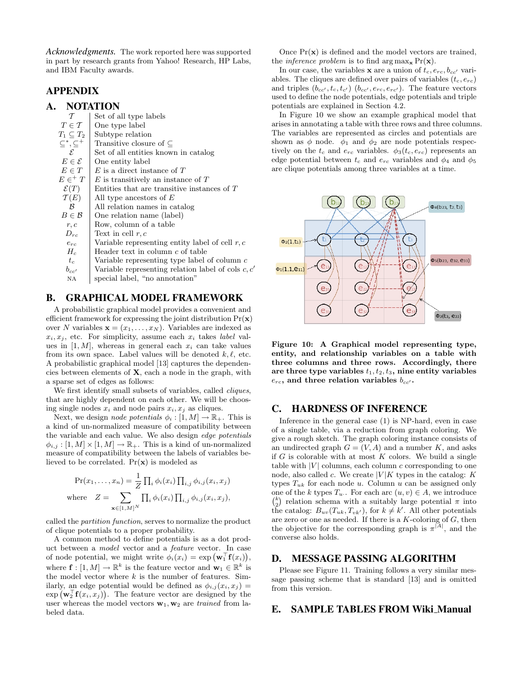*Acknowledgments.* The work reported here was supported in part by research grants from Yahoo! Research, HP Labs, and IBM Faculty awards.

# APPENDIX

## A. NOTATION

| $\tau$                     | Set of all type labels                               |
|----------------------------|------------------------------------------------------|
| $T \in \mathcal{T}$        | One type label                                       |
| $T_1 \subset T_2$          | Subtype relation                                     |
| $\subseteq^*, \subseteq^+$ | Transitive closure of $\subset$                      |
| $\mathcal{E}$              | Set of all entities known in catalog                 |
| $E \in \mathcal{E}$        | One entity label                                     |
| $E \in T$                  | $E$ is a direct instance of $T$                      |
| $E \in^+ T$                | $E$ is transitively an instance of $T$               |
| $\mathcal{E}(T)$           | Entities that are transitive instances of $T$        |
| $\mathcal{T}(E)$           | All type ancestors of $E$                            |
| B                          | All relation names in catalog                        |
| $B \in \mathcal{B}$        | One relation name (label)                            |
| r, c                       | Row, column of a table                               |
| $D_{rc}$                   | Text in cell $r, c$                                  |
| $e_{rc}$                   | Variable representing entity label of cell $r, c$    |
| $H_c$                      | Header text in column c of table                     |
| $t_c$                      | Variable representing type label of column $c$       |
| $b_{cc'}$                  | Variable representing relation label of cols $c, c'$ |
| ΝA                         | special label, "no annotation"                       |
|                            |                                                      |

# B. GRAPHICAL MODEL FRAMEWORK

A probabilistic graphical model provides a convenient and efficient framework for expressing the joint distribution  $Pr(\mathbf{x})$ over N variables  $\mathbf{x} = (x_1, \ldots, x_N)$ . Variables are indexed as  $x_i, x_j$ , etc. For simplicity, assume each  $x_i$  takes *label* values in  $[1, M]$ , whereas in general each  $x_i$  can take values from its own space. Label values will be denoted  $k, \ell$ , etc. A probabilistic graphical model [13] captures the dependencies between elements of  $X$ , each a node in the graph, with a sparse set of edges as follows:

We first identify small subsets of variables, called *cliques*, that are highly dependent on each other. We will be choosing single nodes  $x_i$  and node pairs  $x_i, x_j$  as cliques.

Next, we design *node potentials*  $\phi_i : [1, M] \to \mathbb{R}_+$ . This is a kind of un-normalized measure of compatibility between the variable and each value. We also design edge potentials  $\phi_{i,j} : [1, M] \times [1, M] \to \mathbb{R}_+$ . This is a kind of un-normalized measure of compatibility between the labels of variables believed to be correlated.  $Pr(x)$  is modeled as

$$
\Pr(x_1, \dots, x_n) = \frac{1}{Z} \prod_i \phi_i(x_i) \prod_{i,j} \phi_{i,j}(x_i, x_j)
$$
\nwhere 
$$
Z = \sum_{\mathbf{x} \in [1,M]^N} \prod_i \phi_i(x_i) \prod_{i,j} \phi_{i,j}(x_i, x_j),
$$

called the partition function, serves to normalize the product of clique potentials to a proper probability.

A common method to define potentials is as a dot product between a model vector and a feature vector. In case of node potential, we might write  $\phi_i(x_i) = \exp(\mathbf{w}_1^{\top} \mathbf{f}(x_i)),$ where  $\mathbf{f} : [1, M] \to \mathbb{R}^k$  is the feature vector and  $\mathbf{w}_1 \in \mathbb{R}^k$  is the model vector where  $k$  is the number of features. Similarly, an edge potential would be defined as  $\phi_{i,j}(x_i, x_j) =$  $\exp (\mathbf{w}_2^{\top} \mathbf{f}(x_i, x_j)).$  The feature vector are designed by the user whereas the model vectors  $w_1, w_2$  are trained from labeled data.

Once  $Pr(\mathbf{x})$  is defined and the model vectors are trained, the *inference problem* is to find  $\arg \max_{\mathbf{x}} \Pr(\mathbf{x})$ .

In our case, the variables **x** are a union of  $t_c, e_{rc}, b_{cc'}$  variables. The cliques are defined over pairs of variables  $(t_c, e_{rc})$ and triples  $(b_{cc'}, t_c, t_{c'})$   $(b_{cc'}, e_{rc}, e_{rc'})$ . The feature vectors used to define the node potentials, edge potentials and triple potentials are explained in Section 4.2.

In Figure 10 we show an example graphical model that arises in annotating a table with three rows and three columns. The variables are represented as circles and potentials are shown as  $\phi$  node.  $\phi_1$  and  $\phi_2$  are node potentials respectively on the  $t_c$  and  $e_{rc}$  variables.  $\phi_3(t_c, e_{rc})$  represents an edge potential between  $t_c$  and  $e_{rc}$  variables and  $\phi_4$  and  $\phi_5$ are clique potentials among three variables at a time.



Figure 10: A Graphical model representing type, entity, and relationship variables on a table with three columns and three rows. Accordingly, there are three type variables  $t_1, t_2, t_3$ , nine entity variables  $e_{rc}$ , and three relation variables  $b_{cc'}$ .

## C. HARDNESS OF INFERENCE

Inference in the general case (1) is NP-hard, even in case of a single table, via a reduction from graph coloring. We give a rough sketch. The graph coloring instance consists of an undirected graph  $G = (V, A)$  and a number K, and asks if  $G$  is colorable with at most  $K$  colors. We build a single table with  $|V|$  columns, each column c corresponding to one node, also called c. We create  $|V|K$  types in the catalog:  $K$ types  $T_{uk}$  for each node u. Column u can be assigned only one of the k types  $T_u$ . For each arc  $(u, v) \in A$ , we introduce  $\binom{k}{2}$  relation schema with a suitably large potential  $\pi$  into the catalog:  $B_{uv}(T_{uk}, T_{vk'})$ , for  $k \neq k'$ . All other potentials are zero or one as needed. If there is a  $K$ -coloring of  $G$ , then the objective for the corresponding graph is  $\pi^{|\overline{A}|}$ , and the converse also holds.

## D. MESSAGE PASSING ALGORITHM

Please see Figure 11. Training follows a very similar message passing scheme that is standard [13] and is omitted from this version.

# E. SAMPLE TABLES FROM Wiki Manual